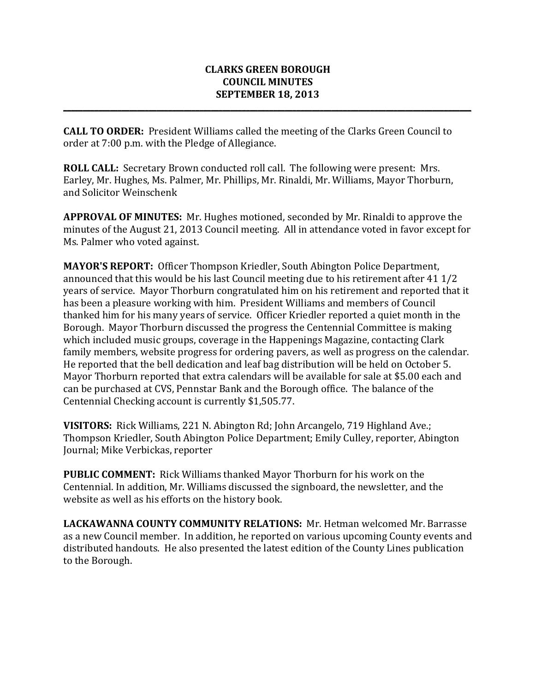## **CLARKS GREEN BOROUGH COUNCIL MINUTES SEPTEMBER 18, 2013**

**\_\_\_\_\_\_\_\_\_\_\_\_\_\_\_\_\_\_\_\_\_\_\_\_\_\_\_\_\_\_\_\_\_\_\_\_\_\_\_\_\_\_\_\_\_\_\_\_\_\_\_\_\_\_\_\_\_\_\_\_\_\_\_\_\_\_\_\_\_\_\_\_\_\_\_\_\_\_\_\_\_\_\_\_\_\_\_\_\_\_\_\_\_\_\_\_\_\_\_\_\_\_\_\_\_**

**CALL TO ORDER:** President Williams called the meeting of the Clarks Green Council to order at 7:00 p.m. with the Pledge of Allegiance.

**ROLL CALL:** Secretary Brown conducted roll call. The following were present: Mrs. Earley, Mr. Hughes, Ms. Palmer, Mr. Phillips, Mr. Rinaldi, Mr. Williams, Mayor Thorburn, and Solicitor Weinschenk

**APPROVAL OF MINUTES:** Mr. Hughes motioned, seconded by Mr. Rinaldi to approve the minutes of the August 21, 2013 Council meeting. All in attendance voted in favor except for Ms. Palmer who voted against.

**MAYOR'S REPORT:** Officer Thompson Kriedler, South Abington Police Department, announced that this would be his last Council meeting due to his retirement after  $41\frac{1}{2}$ years of service. Mayor Thorburn congratulated him on his retirement and reported that it has been a pleasure working with him. President Williams and members of Council thanked him for his many years of service. Officer Kriedler reported a quiet month in the Borough. Mayor Thorburn discussed the progress the Centennial Committee is making which included music groups, coverage in the Happenings Magazine, contacting Clark family members, website progress for ordering pavers, as well as progress on the calendar. He reported that the bell dedication and leaf bag distribution will be held on October 5. Mayor Thorburn reported that extra calendars will be available for sale at \$5.00 each and can be purchased at CVS, Pennstar Bank and the Borough office. The balance of the Centennial Checking account is currently \$1,505.77.

**VISITORS:** Rick Williams, 221 N. Abington Rd; John Arcangelo, 719 Highland Ave.; Thompson Kriedler, South Abington Police Department; Emily Culley, reporter, Abington Journal; Mike Verbickas, reporter

**PUBLIC COMMENT:** Rick Williams thanked Mayor Thorburn for his work on the Centennial. In addition, Mr. Williams discussed the signboard, the newsletter, and the website as well as his efforts on the history book.

**LACKAWANNA COUNTY COMMUNITY RELATIONS:** Mr. Hetman welcomed Mr. Barrasse as a new Council member. In addition, he reported on various upcoming County events and distributed handouts. He also presented the latest edition of the County Lines publication to the Borough.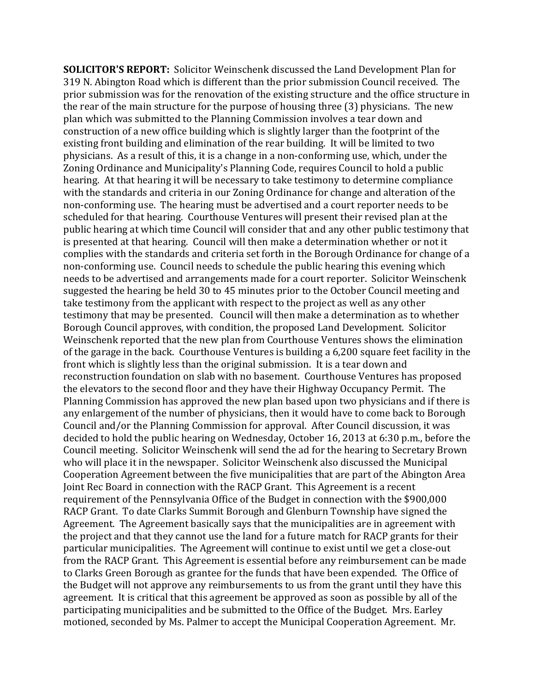**SOLICITOR'S REPORT:** Solicitor Weinschenk discussed the Land Development Plan for 319 N. Abington Road which is different than the prior submission Council received. The prior submission was for the renovation of the existing structure and the office structure in the rear of the main structure for the purpose of housing three  $(3)$  physicians. The new plan which was submitted to the Planning Commission involves a tear down and construction of a new office building which is slightly larger than the footprint of the existing front building and elimination of the rear building. It will be limited to two physicians. As a result of this, it is a change in a non-conforming use, which, under the Zoning Ordinance and Municipality's Planning Code, requires Council to hold a public hearing. At that hearing it will be necessary to take testimony to determine compliance with the standards and criteria in our Zoning Ordinance for change and alteration of the non-conforming use. The hearing must be advertised and a court reporter needs to be scheduled for that hearing. Courthouse Ventures will present their revised plan at the public hearing at which time Council will consider that and any other public testimony that is presented at that hearing. Council will then make a determination whether or not it complies with the standards and criteria set forth in the Borough Ordinance for change of a non-conforming use. Council needs to schedule the public hearing this evening which needs to be advertised and arrangements made for a court reporter. Solicitor Weinschenk suggested the hearing be held 30 to 45 minutes prior to the October Council meeting and take testimony from the applicant with respect to the project as well as any other testimony that may be presented. Council will then make a determination as to whether Borough Council approves, with condition, the proposed Land Development. Solicitor Weinschenk reported that the new plan from Courthouse Ventures shows the elimination of the garage in the back. Courthouse Ventures is building a  $6,200$  square feet facility in the front which is slightly less than the original submission. It is a tear down and reconstruction foundation on slab with no basement. Courthouse Ventures has proposed the elevators to the second floor and they have their Highway Occupancy Permit. The Planning Commission has approved the new plan based upon two physicians and if there is any enlargement of the number of physicians, then it would have to come back to Borough Council and/or the Planning Commission for approval. After Council discussion, it was decided to hold the public hearing on Wednesday, October 16, 2013 at 6:30 p.m., before the Council meeting. Solicitor Weinschenk will send the ad for the hearing to Secretary Brown who will place it in the newspaper. Solicitor Weinschenk also discussed the Municipal Cooperation Agreement between the five municipalities that are part of the Abington Area Joint Rec Board in connection with the RACP Grant. This Agreement is a recent requirement of the Pennsylvania Office of the Budget in connection with the \$900,000 RACP Grant. To date Clarks Summit Borough and Glenburn Township have signed the Agreement. The Agreement basically says that the municipalities are in agreement with the project and that they cannot use the land for a future match for RACP grants for their particular municipalities. The Agreement will continue to exist until we get a close-out from the RACP Grant. This Agreement is essential before any reimbursement can be made to Clarks Green Borough as grantee for the funds that have been expended. The Office of the Budget will not approve any reimbursements to us from the grant until they have this agreement. It is critical that this agreement be approved as soon as possible by all of the participating municipalities and be submitted to the Office of the Budget. Mrs. Earley motioned, seconded by Ms. Palmer to accept the Municipal Cooperation Agreement. Mr.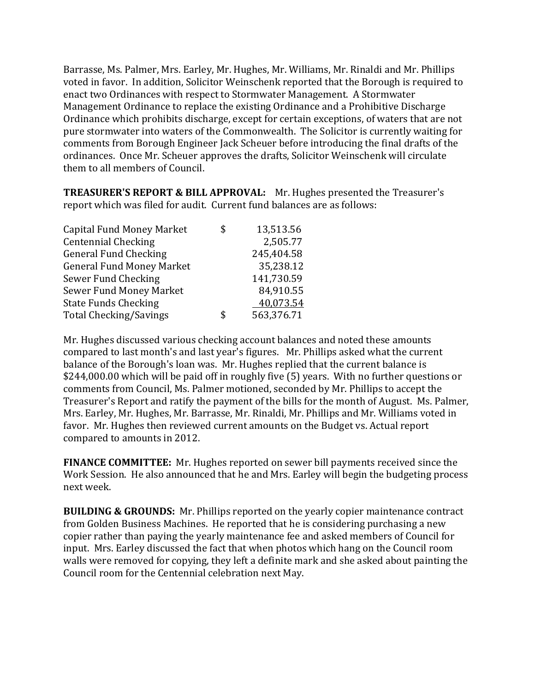Barrasse, Ms. Palmer, Mrs. Earley, Mr. Hughes, Mr. Williams, Mr. Rinaldi and Mr. Phillips voted in favor. In addition, Solicitor Weinschenk reported that the Borough is required to enact two Ordinances with respect to Stormwater Management. A Stormwater Management Ordinance to replace the existing Ordinance and a Prohibitive Discharge Ordinance which prohibits discharge, except for certain exceptions, of waters that are not pure stormwater into waters of the Commonwealth. The Solicitor is currently waiting for comments from Borough Engineer Jack Scheuer before introducing the final drafts of the ordinances. Once Mr. Scheuer approves the drafts, Solicitor Weinschenk will circulate them to all members of Council.

**TREASURER'S REPORT & BILL APPROVAL:** Mr. Hughes presented the Treasurer's report which was filed for audit. Current fund balances are as follows:

| \$<br>13,513.56  |
|------------------|
| 2,505.77         |
| 245,404.58       |
| 35,238.12        |
| 141,730.59       |
| 84,910.55        |
| 40,073.54        |
| \$<br>563,376.71 |
|                  |

Mr. Hughes discussed various checking account balances and noted these amounts compared to last month's and last year's figures. Mr. Phillips asked what the current balance of the Borough's loan was. Mr. Hughes replied that the current balance is \$244,000.00 which will be paid off in roughly five (5) years. With no further questions or comments from Council, Ms. Palmer motioned, seconded by Mr. Phillips to accept the Treasurer's Report and ratify the payment of the bills for the month of August. Ms. Palmer, Mrs. Earley, Mr. Hughes, Mr. Barrasse, Mr. Rinaldi, Mr. Phillips and Mr. Williams voted in favor. Mr. Hughes then reviewed current amounts on the Budget vs. Actual report compared to amounts in 2012.

**FINANCE COMMITTEE:** Mr. Hughes reported on sewer bill payments received since the Work Session. He also announced that he and Mrs. Earley will begin the budgeting process next week.

**BUILDING & GROUNDS:** Mr. Phillips reported on the yearly copier maintenance contract from Golden Business Machines. He reported that he is considering purchasing a new copier rather than paying the yearly maintenance fee and asked members of Council for input. Mrs. Earley discussed the fact that when photos which hang on the Council room walls were removed for copying, they left a definite mark and she asked about painting the Council room for the Centennial celebration next May.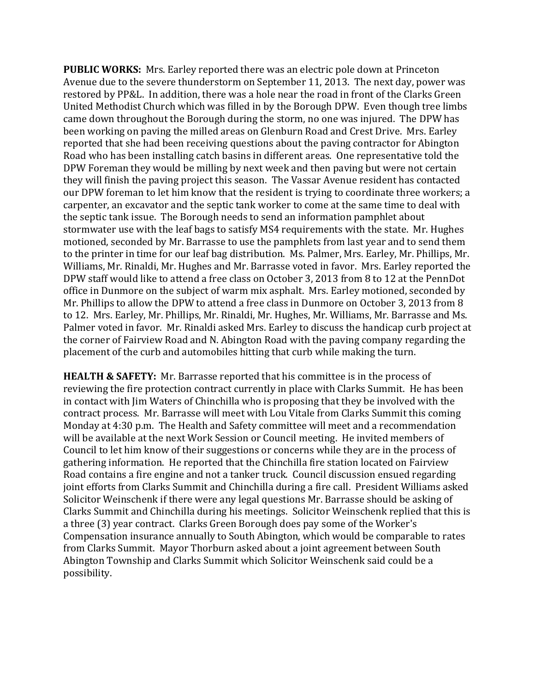**PUBLIC WORKS:** Mrs. Earley reported there was an electric pole down at Princeton Avenue due to the severe thunderstorm on September 11, 2013. The next day, power was restored by PP&L. In addition, there was a hole near the road in front of the Clarks Green United Methodist Church which was filled in by the Borough DPW. Even though tree limbs came down throughout the Borough during the storm, no one was injured. The DPW has been working on paving the milled areas on Glenburn Road and Crest Drive. Mrs. Earley reported that she had been receiving questions about the paving contractor for Abington Road who has been installing catch basins in different areas. One representative told the DPW Foreman they would be milling by next week and then paving but were not certain they will finish the paving project this season. The Vassar Avenue resident has contacted our DPW foreman to let him know that the resident is trying to coordinate three workers; a carpenter, an excavator and the septic tank worker to come at the same time to deal with the septic tank issue. The Borough needs to send an information pamphlet about stormwater use with the leaf bags to satisfy MS4 requirements with the state. Mr. Hughes motioned, seconded by Mr. Barrasse to use the pamphlets from last year and to send them to the printer in time for our leaf bag distribution. Ms. Palmer, Mrs. Earley, Mr. Phillips, Mr. Williams, Mr. Rinaldi, Mr. Hughes and Mr. Barrasse voted in favor. Mrs. Earley reported the DPW staff would like to attend a free class on October 3, 2013 from 8 to 12 at the PennDot office in Dunmore on the subject of warm mix asphalt. Mrs. Earley motioned, seconded by Mr. Phillips to allow the DPW to attend a free class in Dunmore on October 3, 2013 from 8 to 12. Mrs. Earley, Mr. Phillips, Mr. Rinaldi, Mr. Hughes, Mr. Williams, Mr. Barrasse and Ms. Palmer voted in favor. Mr. Rinaldi asked Mrs. Earley to discuss the handicap curb project at the corner of Fairview Road and N. Abington Road with the paving company regarding the placement of the curb and automobiles hitting that curb while making the turn.

**HEALTH & SAFETY:** Mr. Barrasse reported that his committee is in the process of reviewing the fire protection contract currently in place with Clarks Summit. He has been in contact with Iim Waters of Chinchilla who is proposing that they be involved with the contract process. Mr. Barrasse will meet with Lou Vitale from Clarks Summit this coming Monday at 4:30 p.m. The Health and Safety committee will meet and a recommendation will be available at the next Work Session or Council meeting. He invited members of Council to let him know of their suggestions or concerns while they are in the process of gathering information. He reported that the Chinchilla fire station located on Fairview Road contains a fire engine and not a tanker truck. Council discussion ensued regarding joint efforts from Clarks Summit and Chinchilla during a fire call. President Williams asked Solicitor Weinschenk if there were any legal questions Mr. Barrasse should be asking of Clarks Summit and Chinchilla during his meetings. Solicitor Weinschenk replied that this is a three (3) year contract. Clarks Green Borough does pay some of the Worker's Compensation insurance annually to South Abington, which would be comparable to rates from Clarks Summit. Mayor Thorburn asked about a joint agreement between South Abington Township and Clarks Summit which Solicitor Weinschenk said could be a possibility.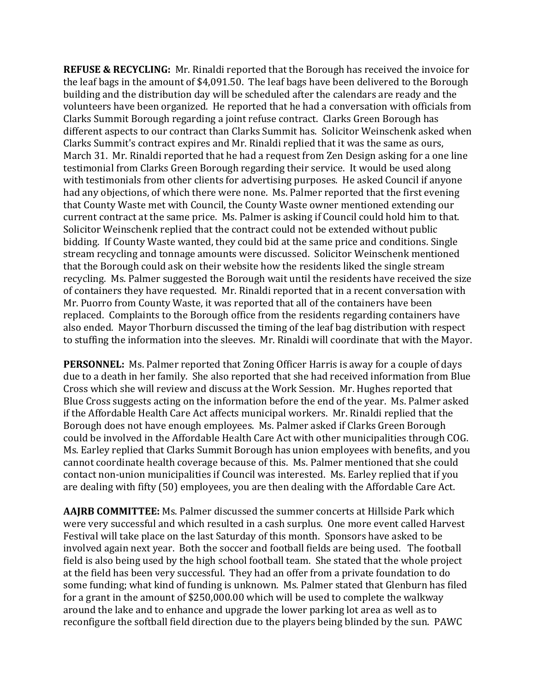**REFUSE & RECYCLING:** Mr. Rinaldi reported that the Borough has received the invoice for the leaf bags in the amount of  $$4,091.50$ . The leaf bags have been delivered to the Borough building and the distribution day will be scheduled after the calendars are ready and the volunteers have been organized. He reported that he had a conversation with officials from Clarks Summit Borough regarding a joint refuse contract. Clarks Green Borough has different aspects to our contract than Clarks Summit has. Solicitor Weinschenk asked when Clarks Summit's contract expires and Mr. Rinaldi replied that it was the same as ours, March 31. Mr. Rinaldi reported that he had a request from Zen Design asking for a one line testimonial from Clarks Green Borough regarding their service. It would be used along with testimonials from other clients for advertising purposes. He asked Council if anyone had any objections, of which there were none. Ms. Palmer reported that the first evening that County Waste met with Council, the County Waste owner mentioned extending our current contract at the same price. Ms. Palmer is asking if Council could hold him to that. Solicitor Weinschenk replied that the contract could not be extended without public bidding. If County Waste wanted, they could bid at the same price and conditions. Single stream recycling and tonnage amounts were discussed. Solicitor Weinschenk mentioned that the Borough could ask on their website how the residents liked the single stream recycling. Ms. Palmer suggested the Borough wait until the residents have received the size of containers they have requested. Mr. Rinaldi reported that in a recent conversation with Mr. Puorro from County Waste, it was reported that all of the containers have been replaced. Complaints to the Borough office from the residents regarding containers have also ended. Mayor Thorburn discussed the timing of the leaf bag distribution with respect to stuffing the information into the sleeves. Mr. Rinaldi will coordinate that with the Mayor.

**PERSONNEL:** Ms. Palmer reported that Zoning Officer Harris is away for a couple of days due to a death in her family. She also reported that she had received information from Blue Cross which she will review and discuss at the Work Session. Mr. Hughes reported that Blue Cross suggests acting on the information before the end of the year. Ms. Palmer asked if the Affordable Health Care Act affects municipal workers. Mr. Rinaldi replied that the Borough does not have enough employees. Ms. Palmer asked if Clarks Green Borough could be involved in the Affordable Health Care Act with other municipalities through COG. Ms. Earley replied that Clarks Summit Borough has union employees with benefits, and you cannot coordinate health coverage because of this. Ms. Palmer mentioned that she could contact non-union municipalities if Council was interested. Ms. Earley replied that if you are dealing with fifty (50) employees, you are then dealing with the Affordable Care Act.

**AAJRB COMMITTEE:** Ms. Palmer discussed the summer concerts at Hillside Park which were very successful and which resulted in a cash surplus. One more event called Harvest Festival will take place on the last Saturday of this month. Sponsors have asked to be involved again next year. Both the soccer and football fields are being used. The football field is also being used by the high school football team. She stated that the whole project at the field has been very successful. They had an offer from a private foundation to do some funding; what kind of funding is unknown. Ms. Palmer stated that Glenburn has filed for a grant in the amount of  $$250,000.00$  which will be used to complete the walkway around the lake and to enhance and upgrade the lower parking lot area as well as to reconfigure the softball field direction due to the players being blinded by the sun. PAWC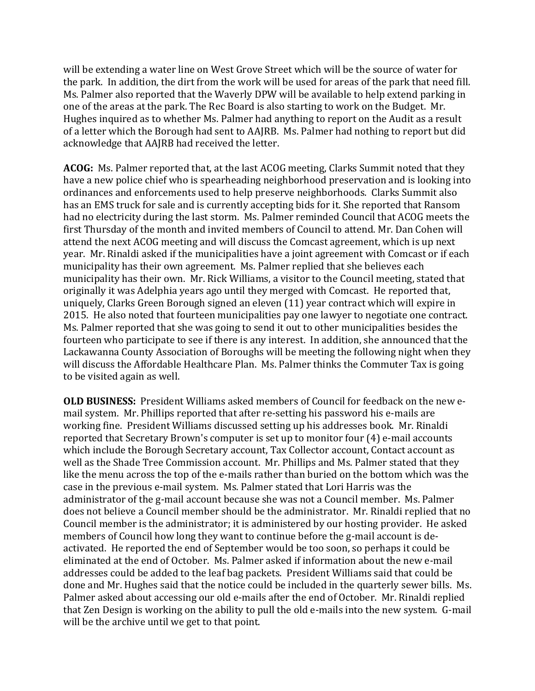will be extending a water line on West Grove Street which will be the source of water for the park. In addition, the dirt from the work will be used for areas of the park that need fill. Ms. Palmer also reported that the Waverly DPW will be available to help extend parking in one of the areas at the park. The Rec Board is also starting to work on the Budget. Mr. Hughes inquired as to whether Ms. Palmer had anything to report on the Audit as a result of a letter which the Borough had sent to AAJRB. Ms. Palmer had nothing to report but did acknowledge that AAJRB had received the letter.

**ACOG:** Ms. Palmer reported that, at the last ACOG meeting, Clarks Summit noted that they have a new police chief who is spearheading neighborhood preservation and is looking into ordinances and enforcements used to help preserve neighborhoods. Clarks Summit also has an EMS truck for sale and is currently accepting bids for it. She reported that Ransom had no electricity during the last storm. Ms. Palmer reminded Council that ACOG meets the first Thursday of the month and invited members of Council to attend. Mr. Dan Cohen will attend the next ACOG meeting and will discuss the Comcast agreement, which is up next year. Mr. Rinaldi asked if the municipalities have a joint agreement with Comcast or if each municipality has their own agreement. Ms. Palmer replied that she believes each municipality has their own. Mr. Rick Williams, a visitor to the Council meeting, stated that originally it was Adelphia years ago until they merged with Comcast. He reported that, uniquely, Clarks Green Borough signed an eleven (11) year contract which will expire in 2015. He also noted that fourteen municipalities pay one lawyer to negotiate one contract. Ms. Palmer reported that she was going to send it out to other municipalities besides the fourteen who participate to see if there is any interest. In addition, she announced that the Lackawanna County Association of Boroughs will be meeting the following night when they will discuss the Affordable Healthcare Plan. Ms. Palmer thinks the Commuter Tax is going to be visited again as well.

**OLD BUSINESS:** President Williams asked members of Council for feedback on the new email system. Mr. Phillips reported that after re-setting his password his e-mails are working fine. President Williams discussed setting up his addresses book. Mr. Rinaldi reported that Secretary Brown's computer is set up to monitor four (4) e-mail accounts which include the Borough Secretary account, Tax Collector account, Contact account as well as the Shade Tree Commission account. Mr. Phillips and Ms. Palmer stated that they like the menu across the top of the e-mails rather than buried on the bottom which was the case in the previous e-mail system. Ms. Palmer stated that Lori Harris was the administrator of the g-mail account because she was not a Council member. Ms. Palmer does not believe a Council member should be the administrator. Mr. Rinaldi replied that no Council member is the administrator; it is administered by our hosting provider. He asked members of Council how long they want to continue before the g-mail account is deactivated. He reported the end of September would be too soon, so perhaps it could be eliminated at the end of October. Ms. Palmer asked if information about the new e-mail addresses could be added to the leaf bag packets. President Williams said that could be done and Mr. Hughes said that the notice could be included in the quarterly sewer bills. Ms. Palmer asked about accessing our old e-mails after the end of October. Mr. Rinaldi replied that Zen Design is working on the ability to pull the old e-mails into the new system. G-mail will be the archive until we get to that point.